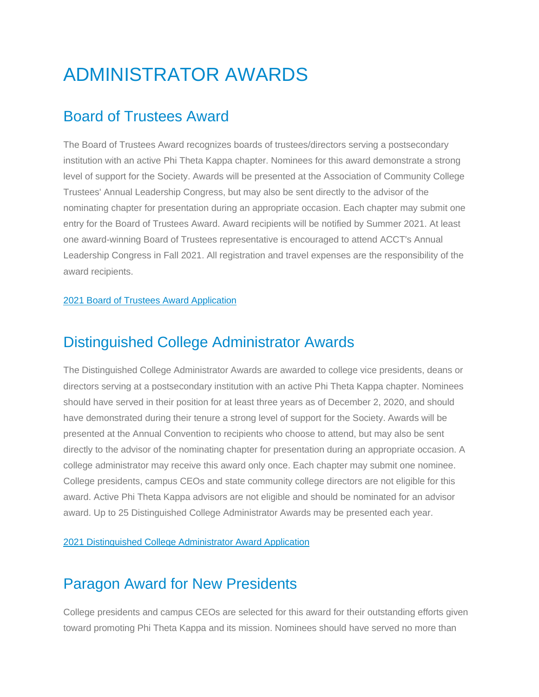# ADMINISTRATOR AWARDS

### Board of Trustees Award

The Board of Trustees Award recognizes boards of trustees/directors serving a postsecondary institution with an active Phi Theta Kappa chapter. Nominees for this award demonstrate a strong level of support for the Society. Awards will be presented at the Association of Community College Trustees' Annual Leadership Congress, but may also be sent directly to the advisor of the nominating chapter for presentation during an appropriate occasion. Each chapter may submit one entry for the Board of Trustees Award. Award recipients will be notified by Summer 2021. At least one award-winning Board of Trustees representative is encouraged to attend ACCT's Annual Leadership Congress in Fall 2021. All registration and travel expenses are the responsibility of the award recipients.

#### 2021 Board of Trustees Award [Application](https://portal.ptk.org/Portals/0/docs/awards/hallmarks/2021_board_of_trustees_award_FINAL.pdf)

# Distinguished College Administrator Awards

The Distinguished College Administrator Awards are awarded to college vice presidents, deans or directors serving at a postsecondary institution with an active Phi Theta Kappa chapter. Nominees should have served in their position for at least three years as of December 2, 2020, and should have demonstrated during their tenure a strong level of support for the Society. Awards will be presented at the Annual Convention to recipients who choose to attend, but may also be sent directly to the advisor of the nominating chapter for presentation during an appropriate occasion. A college administrator may receive this award only once. Each chapter may submit one nominee. College presidents, campus CEOs and state community college directors are not eligible for this award. Active Phi Theta Kappa advisors are not eligible and should be nominated for an advisor award. Up to 25 Distinguished College Administrator Awards may be presented each year.

2021 [Distinguished](https://portal.ptk.org/Portals/0/docs/awards/hallmarks/2021_dist_administrator_award_Final.pdf) College Administrator Award Application

### Paragon Award for New Presidents

College presidents and campus CEOs are selected for this award for their outstanding efforts given toward promoting Phi Theta Kappa and its mission. Nominees should have served no more than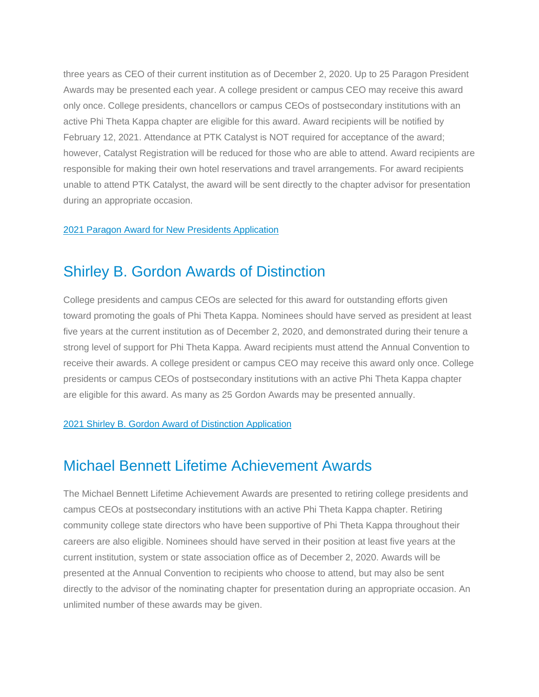three years as CEO of their current institution as of December 2, 2020. Up to 25 Paragon President Awards may be presented each year. A college president or campus CEO may receive this award only once. College presidents, chancellors or campus CEOs of postsecondary institutions with an active Phi Theta Kappa chapter are eligible for this award. Award recipients will be notified by February 12, 2021. Attendance at PTK Catalyst is NOT required for acceptance of the award; however, Catalyst Registration will be reduced for those who are able to attend. Award recipients are responsible for making their own hotel reservations and travel arrangements. For award recipients unable to attend PTK Catalyst, the award will be sent directly to the chapter advisor for presentation during an appropriate occasion.

#### 2021 Paragon Award for New Presidents [Application](https://portal.ptk.org/Portals/0/docs/awards/hallmarks/2021_paragon_president_award_Final.pdf)

### Shirley B. Gordon Awards of Distinction

College presidents and campus CEOs are selected for this award for outstanding efforts given toward promoting the goals of Phi Theta Kappa. Nominees should have served as president at least five years at the current institution as of December 2, 2020, and demonstrated during their tenure a strong level of support for Phi Theta Kappa. Award recipients must attend the Annual Convention to receive their awards. A college president or campus CEO may receive this award only once. College presidents or campus CEOs of postsecondary institutions with an active Phi Theta Kappa chapter are eligible for this award. As many as 25 Gordon Awards may be presented annually.

#### 2021 Shirley B. Gordon Award of Distinction [Application](https://portal.ptk.org/Portals/0/docs/awards/hallmarks/2021_shirley_b_gordon_award_FINAL.pdf)

### Michael Bennett Lifetime Achievement Awards

The Michael Bennett Lifetime Achievement Awards are presented to retiring college presidents and campus CEOs at postsecondary institutions with an active Phi Theta Kappa chapter. Retiring community college state directors who have been supportive of Phi Theta Kappa throughout their careers are also eligible. Nominees should have served in their position at least five years at the current institution, system or state association office as of December 2, 2020. Awards will be presented at the Annual Convention to recipients who choose to attend, but may also be sent directly to the advisor of the nominating chapter for presentation during an appropriate occasion. An unlimited number of these awards may be given.